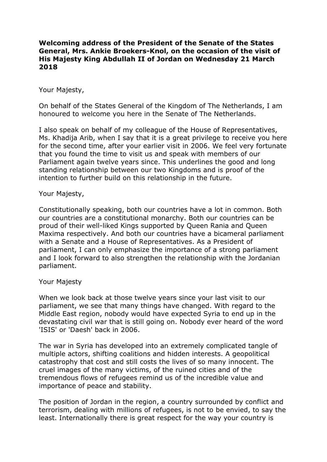## **Welcoming address of the President of the Senate of the States General, Mrs. Ankie Broekers-Knol, on the occasion of the visit of His Majesty King Abdullah II of Jordan on Wednesday 21 March 2018**

## Your Majesty,

On behalf of the States General of the Kingdom of The Netherlands, I am honoured to welcome you here in the Senate of The Netherlands.

I also speak on behalf of my colleague of the House of Representatives, Ms. Khadija Arib, when I say that it is a great privilege to receive you here for the second time, after your earlier visit in 2006. We feel very fortunate that you found the time to visit us and speak with members of our Parliament again twelve years since. This underlines the good and long standing relationship between our two Kingdoms and is proof of the intention to further build on this relationship in the future.

## Your Majesty,

Constitutionally speaking, both our countries have a lot in common. Both our countries are a constitutional monarchy. Both our countries can be proud of their well-liked Kings supported by Queen Rania and Queen Maxima respectively. And both our countries have a bicameral parliament with a Senate and a House of Representatives. As a President of parliament, I can only emphasize the importance of a strong parliament and I look forward to also strengthen the relationship with the Jordanian parliament.

## Your Majesty

When we look back at those twelve years since your last visit to our parliament, we see that many things have changed. With regard to the Middle East region, nobody would have expected Syria to end up in the devastating civil war that is still going on. Nobody ever heard of the word 'ISIS' or 'Daesh' back in 2006.

The war in Syria has developed into an extremely complicated tangle of multiple actors, shifting coalitions and hidden interests. A geopolitical catastrophy that cost and still costs the lives of so many innocent. The cruel images of the many victims, of the ruined cities and of the tremendous flows of refugees remind us of the incredible value and importance of peace and stability.

The position of Jordan in the region, a country surrounded by conflict and terrorism, dealing with millions of refugees, is not to be envied, to say the least. Internationally there is great respect for the way your country is